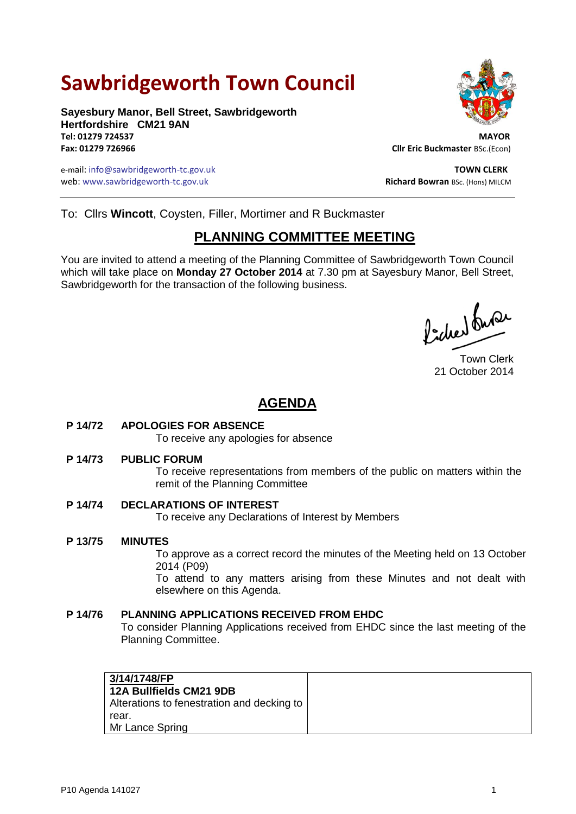# **Sawbridgeworth Town Council**

**Sayesbury Manor, Bell Street, Sawbridgeworth Hertfordshire CM21 9AN Tel: 01279 724537 MAYOR**

e-mail: info@sawbridgeworth-tc.gov.uk **TOWN CLERK** web: www.sawbridgeworth-tc.gov.uk **Richard Bowran BSc. (Hons) MILCM** Richard Bowran BSc. (Hons) MILCM



**Fax: 01279 726966 Cllr Eric Buckmaster** BSc.(Econ)

To: Cllrs **Wincott**, Coysten, Filler, Mortimer and R Buckmaster

## **PLANNING COMMITTEE MEETING**

You are invited to attend a meeting of the Planning Committee of Sawbridgeworth Town Council which will take place on **Monday 27 October 2014** at 7.30 pm at Sayesbury Manor, Bell Street, Sawbridgeworth for the transaction of the following business.

Picked fune

Town Clerk 21 October 2014

## **AGENDA**

#### **P 14/72 APOLOGIES FOR ABSENCE**

To receive any apologies for absence

#### **P 14/73 PUBLIC FORUM**

To receive representations from members of the public on matters within the remit of the Planning Committee

#### **P 14/74 DECLARATIONS OF INTEREST**

To receive any Declarations of Interest by Members

#### **P 13/75 MINUTES**

To approve as a correct record the minutes of the Meeting held on 13 October 2014 (P09)

To attend to any matters arising from these Minutes and not dealt with elsewhere on this Agenda.

#### **P 14/76 PLANNING APPLICATIONS RECEIVED FROM EHDC**

To consider Planning Applications received from EHDC since the last meeting of the Planning Committee.

| 3/14/1748/FP                               |
|--------------------------------------------|
| <b>12A Bullfields CM21 9DB</b>             |
| Alterations to fenestration and decking to |
| rear.                                      |
| Mr Lance Spring                            |